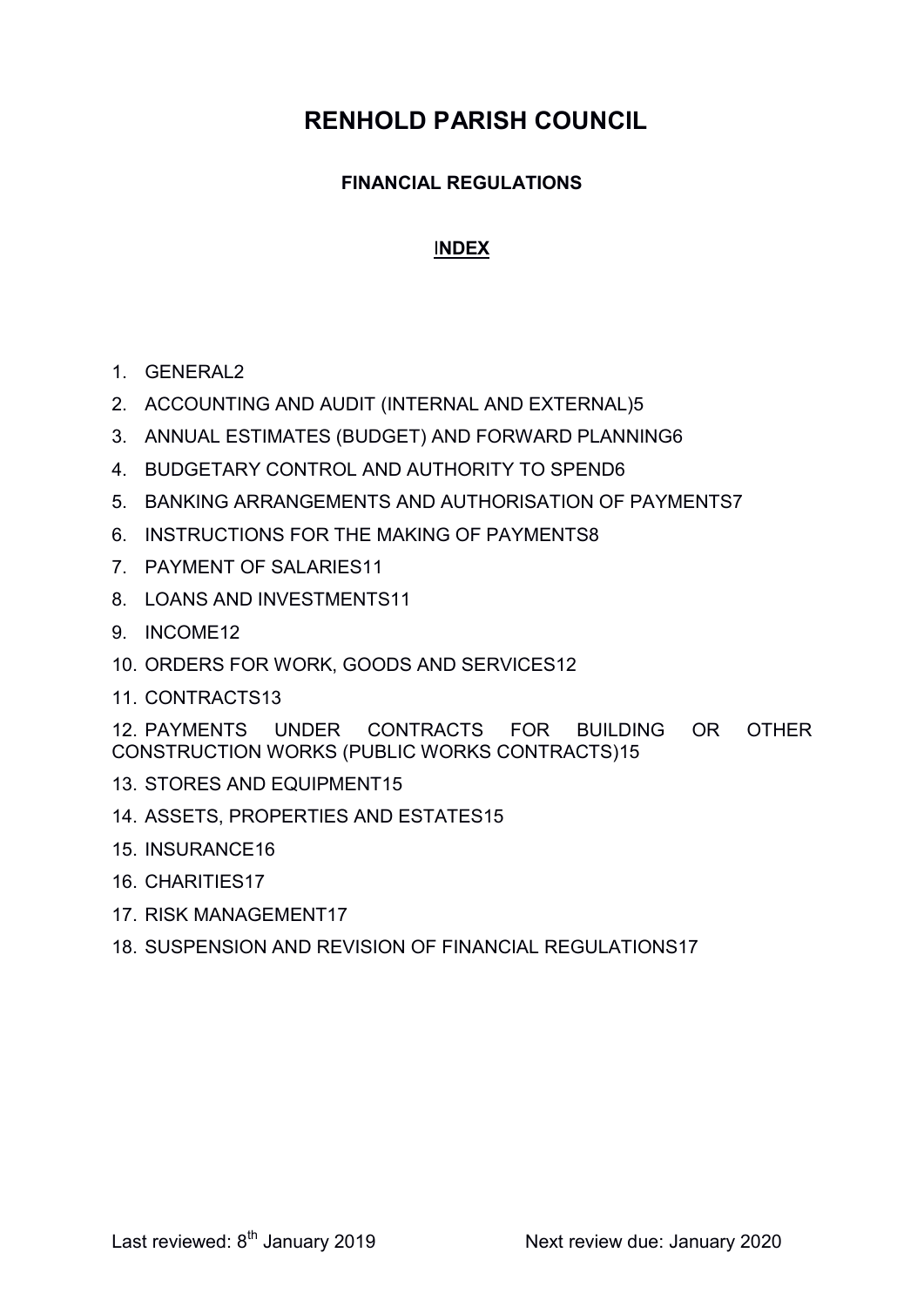# RENHOLD PARISH COUNCIL

### FINANCIAL REGULATIONS

#### INDEX

- 1. GENERAL2
- 2. ACCOUNTING AND AUDIT (INTERNAL AND EXTERNAL)5
- 3. ANNUAL ESTIMATES (BUDGET) AND FORWARD PLANNING6
- 4. BUDGETARY CONTROL AND AUTHORITY TO SPEND6
- 5. BANKING ARRANGEMENTS AND AUTHORISATION OF PAYMENTS7
- 6. INSTRUCTIONS FOR THE MAKING OF PAYMENTS8
- 7. PAYMENT OF SALARIES11
- 8. LOANS AND INVESTMENTS11
- 9. INCOME12
- 10. ORDERS FOR WORK, GOODS AND SERVICES12
- 11. CONTRACTS13

12. PAYMENTS UNDER CONTRACTS FOR BUILDING OR OTHER CONSTRUCTION WORKS (PUBLIC WORKS CONTRACTS)15

- 13. STORES AND EQUIPMENT15
- 14. ASSETS, PROPERTIES AND ESTATES15
- 15. INSURANCE16
- 16. CHARITIES17
- 17. RISK MANAGEMENT17
- 18. SUSPENSION AND REVISION OF FINANCIAL REGULATIONS17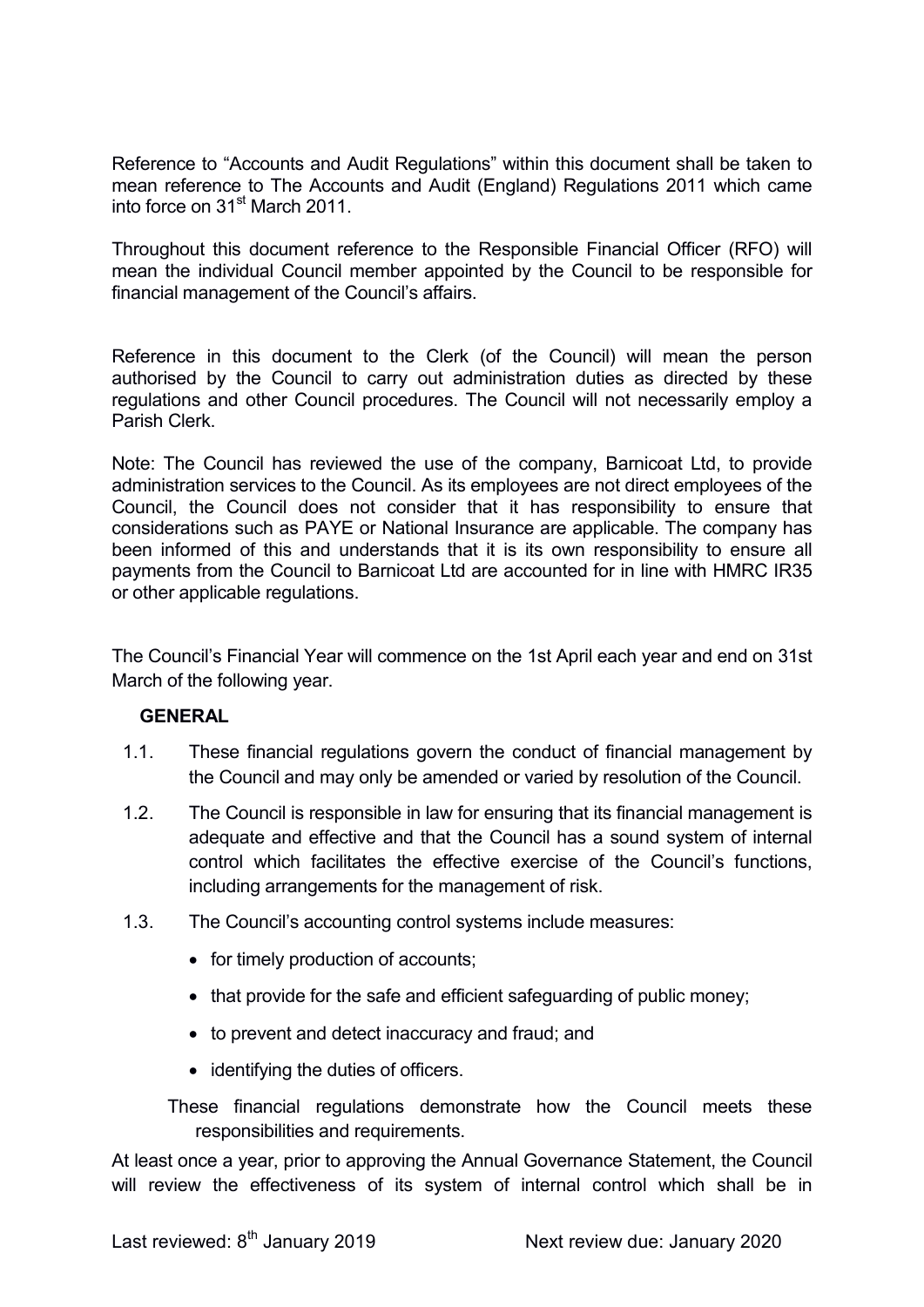Reference to "Accounts and Audit Regulations" within this document shall be taken to mean reference to The Accounts and Audit (England) Regulations 2011 which came into force on 31<sup>st</sup> March 2011.

Throughout this document reference to the Responsible Financial Officer (RFO) will mean the individual Council member appointed by the Council to be responsible for financial management of the Council's affairs.

Reference in this document to the Clerk (of the Council) will mean the person authorised by the Council to carry out administration duties as directed by these regulations and other Council procedures. The Council will not necessarily employ a Parish Clerk.

Note: The Council has reviewed the use of the company, Barnicoat Ltd, to provide administration services to the Council. As its employees are not direct employees of the Council, the Council does not consider that it has responsibility to ensure that considerations such as PAYE or National Insurance are applicable. The company has been informed of this and understands that it is its own responsibility to ensure all payments from the Council to Barnicoat Ltd are accounted for in line with HMRC IR35 or other applicable regulations.

The Council's Financial Year will commence on the 1st April each year and end on 31st March of the following year.

#### **GENERAL**

- 1.1. These financial regulations govern the conduct of financial management by the Council and may only be amended or varied by resolution of the Council.
- 1.2. The Council is responsible in law for ensuring that its financial management is adequate and effective and that the Council has a sound system of internal control which facilitates the effective exercise of the Council's functions, including arrangements for the management of risk.
- 1.3. The Council's accounting control systems include measures:
	- for timely production of accounts;
	- that provide for the safe and efficient safeguarding of public money;
	- to prevent and detect inaccuracy and fraud; and
	- identifying the duties of officers.

These financial regulations demonstrate how the Council meets these responsibilities and requirements.

At least once a year, prior to approving the Annual Governance Statement, the Council will review the effectiveness of its system of internal control which shall be in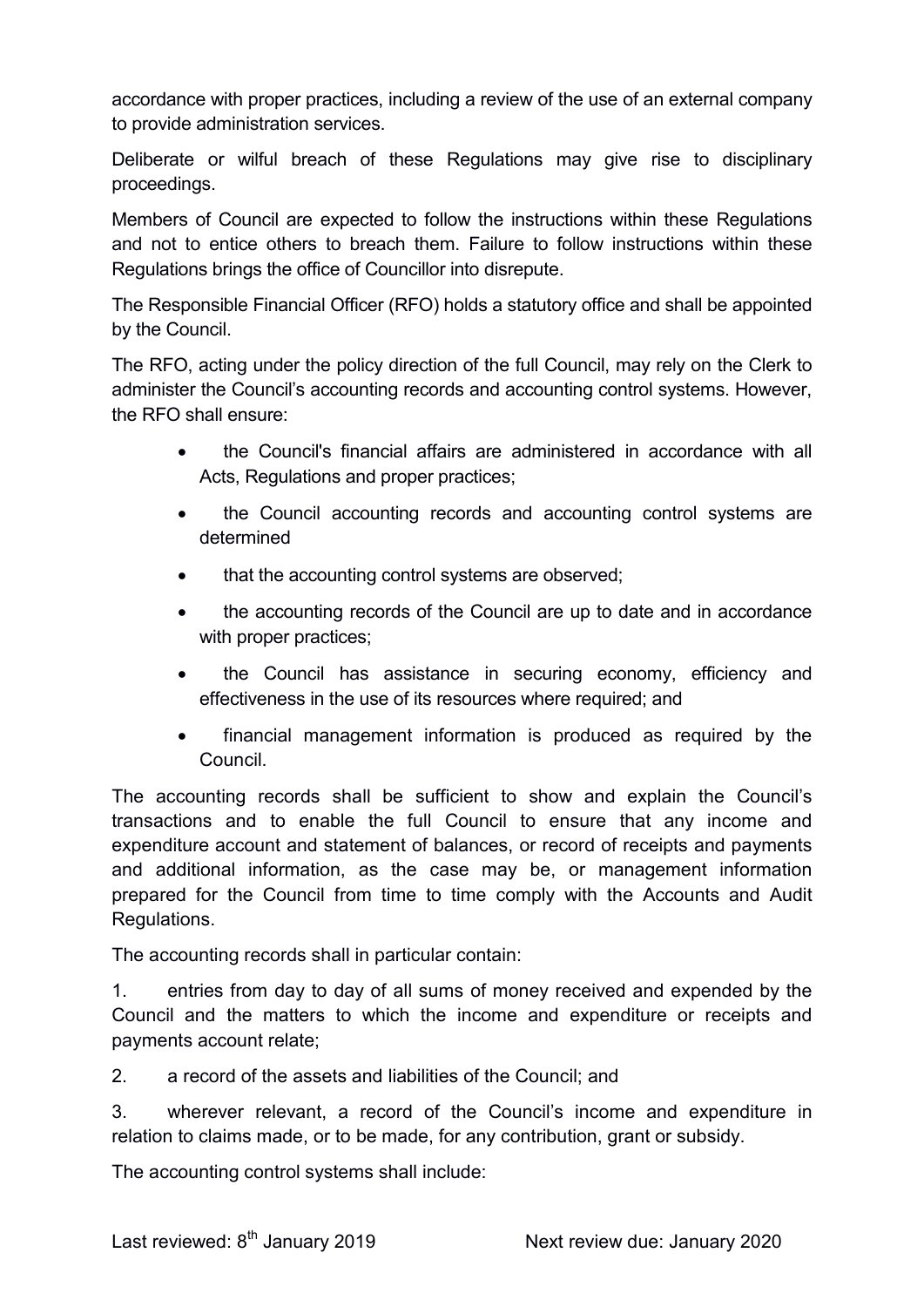accordance with proper practices, including a review of the use of an external company to provide administration services.

Deliberate or wilful breach of these Regulations may give rise to disciplinary proceedings.

Members of Council are expected to follow the instructions within these Regulations and not to entice others to breach them. Failure to follow instructions within these Regulations brings the office of Councillor into disrepute.

The Responsible Financial Officer (RFO) holds a statutory office and shall be appointed by the Council.

The RFO, acting under the policy direction of the full Council, may rely on the Clerk to administer the Council's accounting records and accounting control systems. However, the RFO shall ensure:

- the Council's financial affairs are administered in accordance with all Acts, Regulations and proper practices;
- the Council accounting records and accounting control systems are determined
- that the accounting control systems are observed;
- the accounting records of the Council are up to date and in accordance with proper practices;
- the Council has assistance in securing economy, efficiency and effectiveness in the use of its resources where required; and
- financial management information is produced as required by the Council.

The accounting records shall be sufficient to show and explain the Council's transactions and to enable the full Council to ensure that any income and expenditure account and statement of balances, or record of receipts and payments and additional information, as the case may be, or management information prepared for the Council from time to time comply with the Accounts and Audit Regulations.

The accounting records shall in particular contain:

1. entries from day to day of all sums of money received and expended by the Council and the matters to which the income and expenditure or receipts and payments account relate;

2. a record of the assets and liabilities of the Council; and

3. wherever relevant, a record of the Council's income and expenditure in relation to claims made, or to be made, for any contribution, grant or subsidy.

The accounting control systems shall include: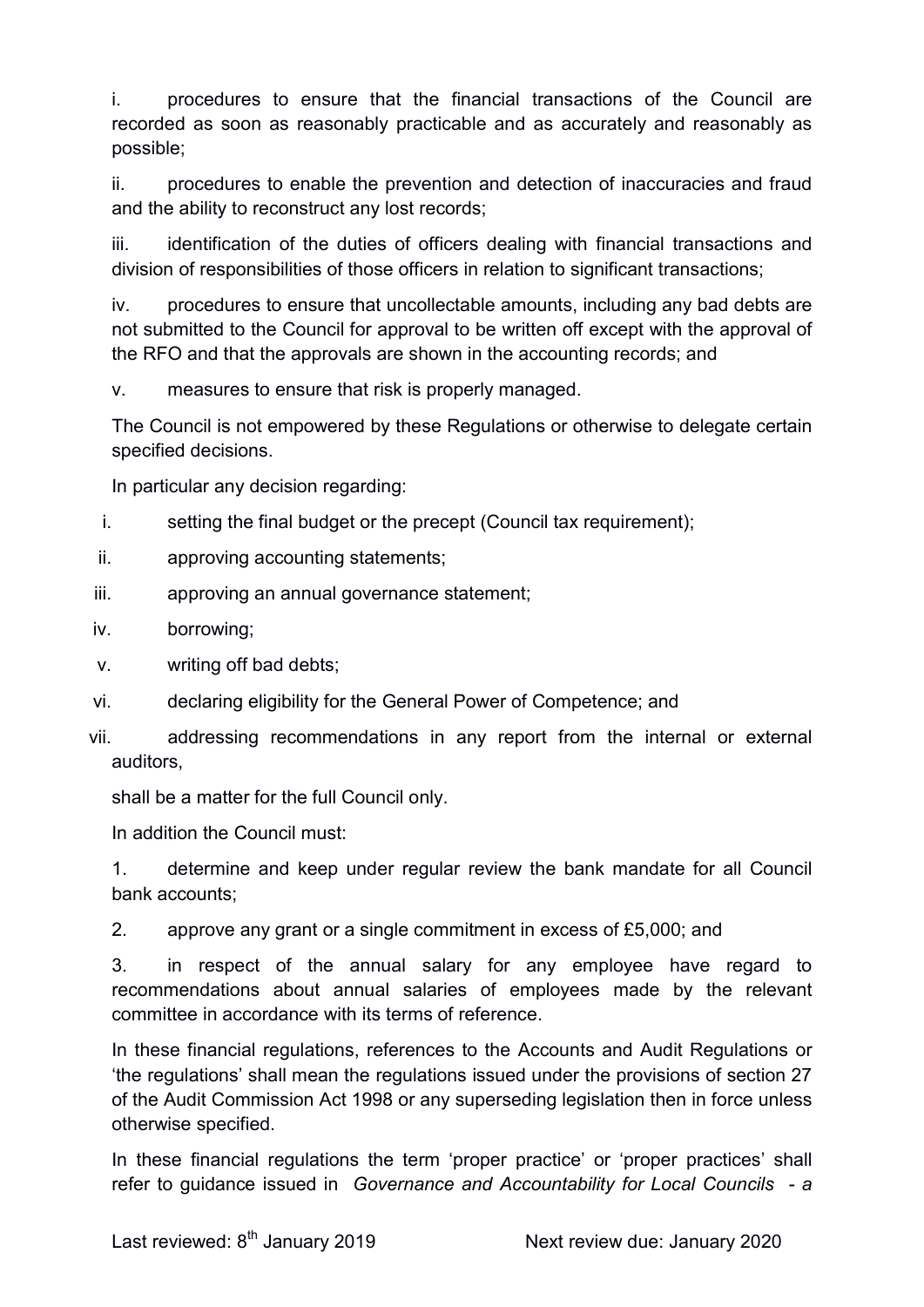i. procedures to ensure that the financial transactions of the Council are recorded as soon as reasonably practicable and as accurately and reasonably as possible;

ii. procedures to enable the prevention and detection of inaccuracies and fraud and the ability to reconstruct any lost records;

iii. identification of the duties of officers dealing with financial transactions and division of responsibilities of those officers in relation to significant transactions;

iv. procedures to ensure that uncollectable amounts, including any bad debts are not submitted to the Council for approval to be written off except with the approval of the RFO and that the approvals are shown in the accounting records; and

v. measures to ensure that risk is properly managed.

The Council is not empowered by these Regulations or otherwise to delegate certain specified decisions.

In particular any decision regarding:

- i. setting the final budget or the precept (Council tax requirement);
- ii. approving accounting statements;
- iii. approving an annual governance statement;
- iv. borrowing;
- v. writing off bad debts;
- vi. declaring eligibility for the General Power of Competence; and
- vii. addressing recommendations in any report from the internal or external auditors,

shall be a matter for the full Council only.

In addition the Council must:

1. determine and keep under regular review the bank mandate for all Council bank accounts;

2. approve any grant or a single commitment in excess of £5,000; and

3. in respect of the annual salary for any employee have regard to recommendations about annual salaries of employees made by the relevant committee in accordance with its terms of reference.

In these financial regulations, references to the Accounts and Audit Regulations or 'the regulations' shall mean the regulations issued under the provisions of section 27 of the Audit Commission Act 1998 or any superseding legislation then in force unless otherwise specified.

In these financial regulations the term 'proper practice' or 'proper practices' shall refer to quidance issued in Governance and Accountability for Local Councils - a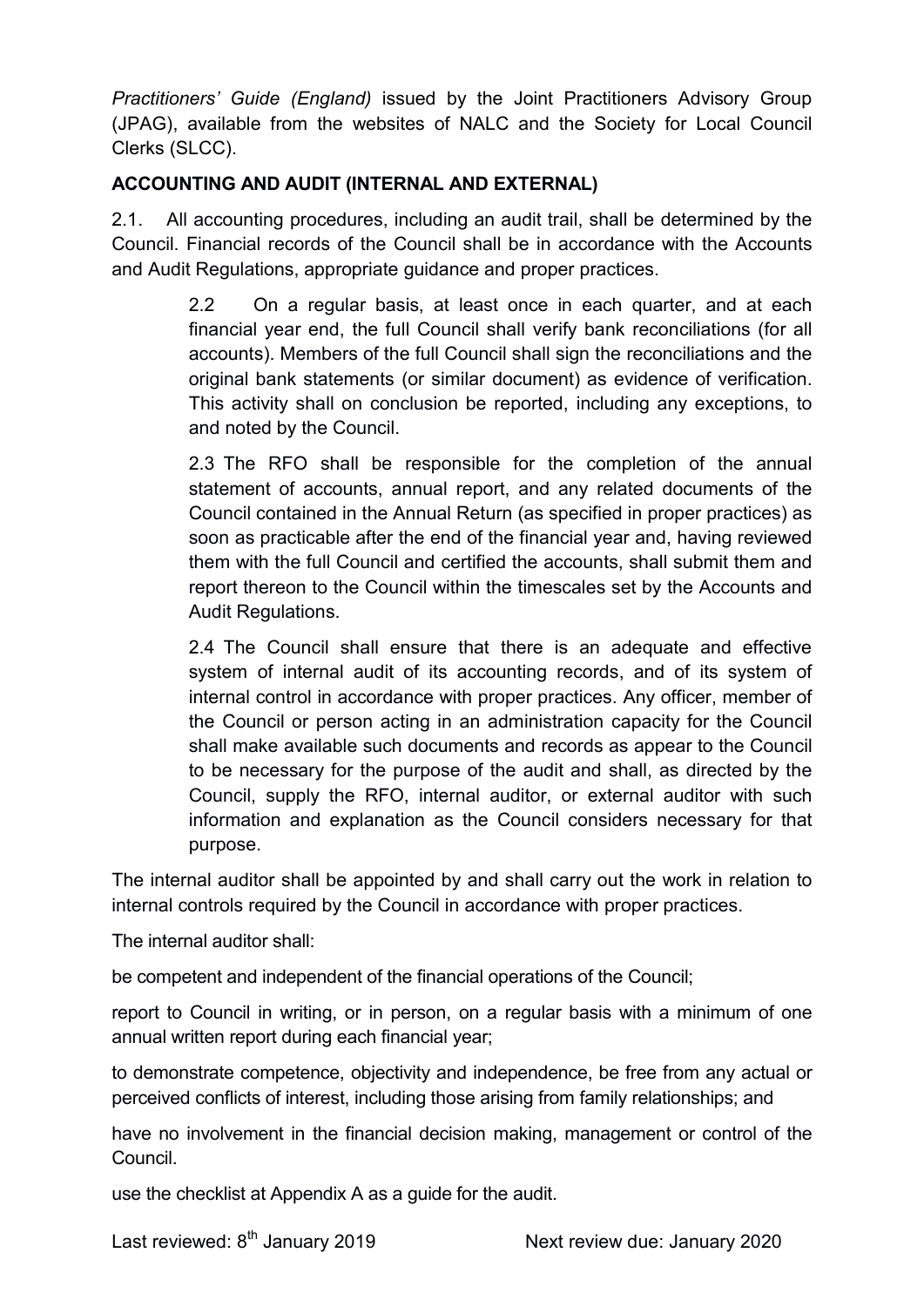Practitioners' Guide (England) issued by the Joint Practitioners Advisory Group (JPAG), available from the websites of NALC and the Society for Local Council Clerks (SLCC).

### ACCOUNTING AND AUDIT (INTERNAL AND EXTERNAL)

2.1. All accounting procedures, including an audit trail, shall be determined by the Council. Financial records of the Council shall be in accordance with the Accounts and Audit Regulations, appropriate guidance and proper practices.

> 2.2 On a regular basis, at least once in each quarter, and at each financial year end, the full Council shall verify bank reconciliations (for all accounts). Members of the full Council shall sign the reconciliations and the original bank statements (or similar document) as evidence of verification. This activity shall on conclusion be reported, including any exceptions, to and noted by the Council.

> 2.3 The RFO shall be responsible for the completion of the annual statement of accounts, annual report, and any related documents of the Council contained in the Annual Return (as specified in proper practices) as soon as practicable after the end of the financial year and, having reviewed them with the full Council and certified the accounts, shall submit them and report thereon to the Council within the timescales set by the Accounts and Audit Regulations.

> 2.4 The Council shall ensure that there is an adequate and effective system of internal audit of its accounting records, and of its system of internal control in accordance with proper practices. Any officer, member of the Council or person acting in an administration capacity for the Council shall make available such documents and records as appear to the Council to be necessary for the purpose of the audit and shall, as directed by the Council, supply the RFO, internal auditor, or external auditor with such information and explanation as the Council considers necessary for that purpose.

The internal auditor shall be appointed by and shall carry out the work in relation to internal controls required by the Council in accordance with proper practices.

The internal auditor shall:

be competent and independent of the financial operations of the Council;

report to Council in writing, or in person, on a regular basis with a minimum of one annual written report during each financial year;

to demonstrate competence, objectivity and independence, be free from any actual or perceived conflicts of interest, including those arising from family relationships; and

have no involvement in the financial decision making, management or control of the Council.

use the checklist at Appendix A as a guide for the audit.

Last reviewed: 8<sup>th</sup> January 2019 Next review due: January 2020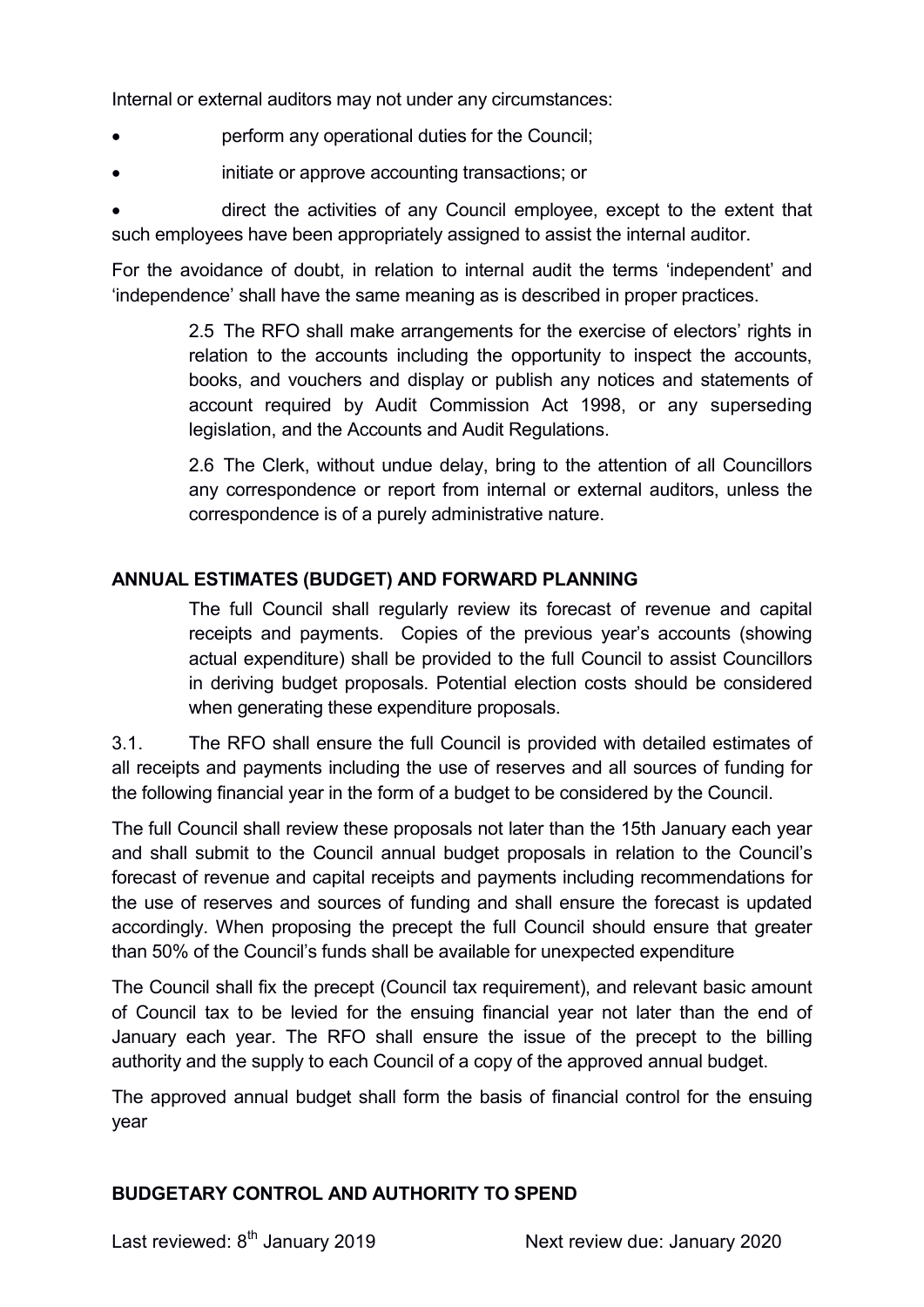Internal or external auditors may not under any circumstances:

- perform any operational duties for the Council;
- initiate or approve accounting transactions; or

 direct the activities of any Council employee, except to the extent that such employees have been appropriately assigned to assist the internal auditor.

For the avoidance of doubt, in relation to internal audit the terms 'independent' and 'independence' shall have the same meaning as is described in proper practices.

> 2.5 The RFO shall make arrangements for the exercise of electors' rights in relation to the accounts including the opportunity to inspect the accounts, books, and vouchers and display or publish any notices and statements of account required by Audit Commission Act 1998, or any superseding legislation, and the Accounts and Audit Regulations.

> 2.6 The Clerk, without undue delay, bring to the attention of all Councillors any correspondence or report from internal or external auditors, unless the correspondence is of a purely administrative nature.

### ANNUAL ESTIMATES (BUDGET) AND FORWARD PLANNING

The full Council shall regularly review its forecast of revenue and capital receipts and payments. Copies of the previous year's accounts (showing actual expenditure) shall be provided to the full Council to assist Councillors in deriving budget proposals. Potential election costs should be considered when generating these expenditure proposals.

3.1. The RFO shall ensure the full Council is provided with detailed estimates of all receipts and payments including the use of reserves and all sources of funding for the following financial year in the form of a budget to be considered by the Council.

The full Council shall review these proposals not later than the 15th January each year and shall submit to the Council annual budget proposals in relation to the Council's forecast of revenue and capital receipts and payments including recommendations for the use of reserves and sources of funding and shall ensure the forecast is updated accordingly. When proposing the precept the full Council should ensure that greater than 50% of the Council's funds shall be available for unexpected expenditure

The Council shall fix the precept (Council tax requirement), and relevant basic amount of Council tax to be levied for the ensuing financial year not later than the end of January each year. The RFO shall ensure the issue of the precept to the billing authority and the supply to each Council of a copy of the approved annual budget.

The approved annual budget shall form the basis of financial control for the ensuing year

#### BUDGETARY CONTROL AND AUTHORITY TO SPEND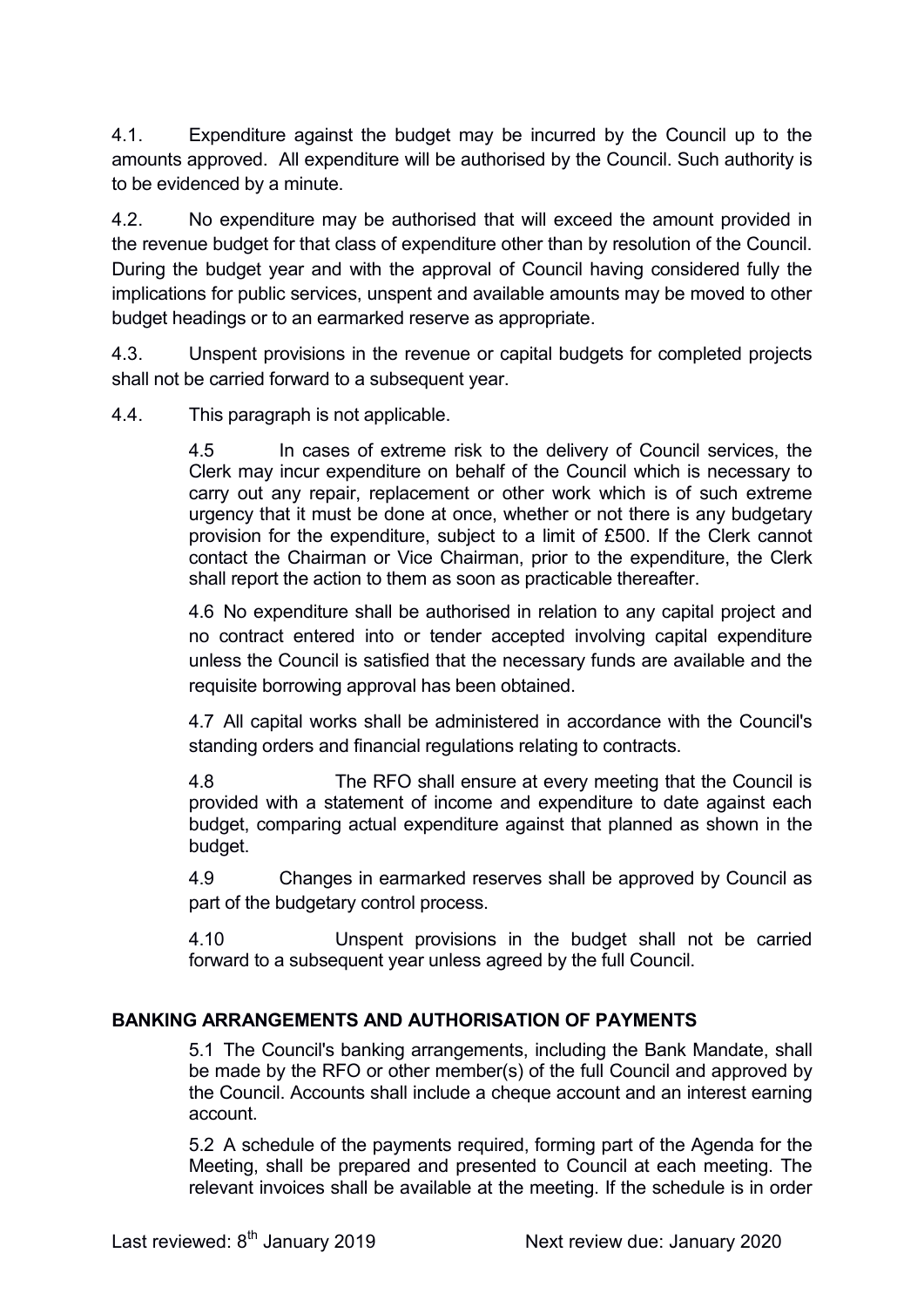4.1. Expenditure against the budget may be incurred by the Council up to the amounts approved. All expenditure will be authorised by the Council. Such authority is to be evidenced by a minute.

4.2. No expenditure may be authorised that will exceed the amount provided in the revenue budget for that class of expenditure other than by resolution of the Council. During the budget year and with the approval of Council having considered fully the implications for public services, unspent and available amounts may be moved to other budget headings or to an earmarked reserve as appropriate.

4.3. Unspent provisions in the revenue or capital budgets for completed projects shall not be carried forward to a subsequent year.

4.4. This paragraph is not applicable.

4.5 In cases of extreme risk to the delivery of Council services, the Clerk may incur expenditure on behalf of the Council which is necessary to carry out any repair, replacement or other work which is of such extreme urgency that it must be done at once, whether or not there is any budgetary provision for the expenditure, subject to a limit of £500. If the Clerk cannot contact the Chairman or Vice Chairman, prior to the expenditure, the Clerk shall report the action to them as soon as practicable thereafter.

4.6 No expenditure shall be authorised in relation to any capital project and no contract entered into or tender accepted involving capital expenditure unless the Council is satisfied that the necessary funds are available and the requisite borrowing approval has been obtained.

4.7 All capital works shall be administered in accordance with the Council's standing orders and financial regulations relating to contracts.

4.8 The RFO shall ensure at every meeting that the Council is provided with a statement of income and expenditure to date against each budget, comparing actual expenditure against that planned as shown in the budget.

4.9 Changes in earmarked reserves shall be approved by Council as part of the budgetary control process.

4.10 Unspent provisions in the budget shall not be carried forward to a subsequent year unless agreed by the full Council.

#### BANKING ARRANGEMENTS AND AUTHORISATION OF PAYMENTS

5.1 The Council's banking arrangements, including the Bank Mandate, shall be made by the RFO or other member(s) of the full Council and approved by the Council. Accounts shall include a cheque account and an interest earning account.

5.2 A schedule of the payments required, forming part of the Agenda for the Meeting, shall be prepared and presented to Council at each meeting. The relevant invoices shall be available at the meeting. If the schedule is in order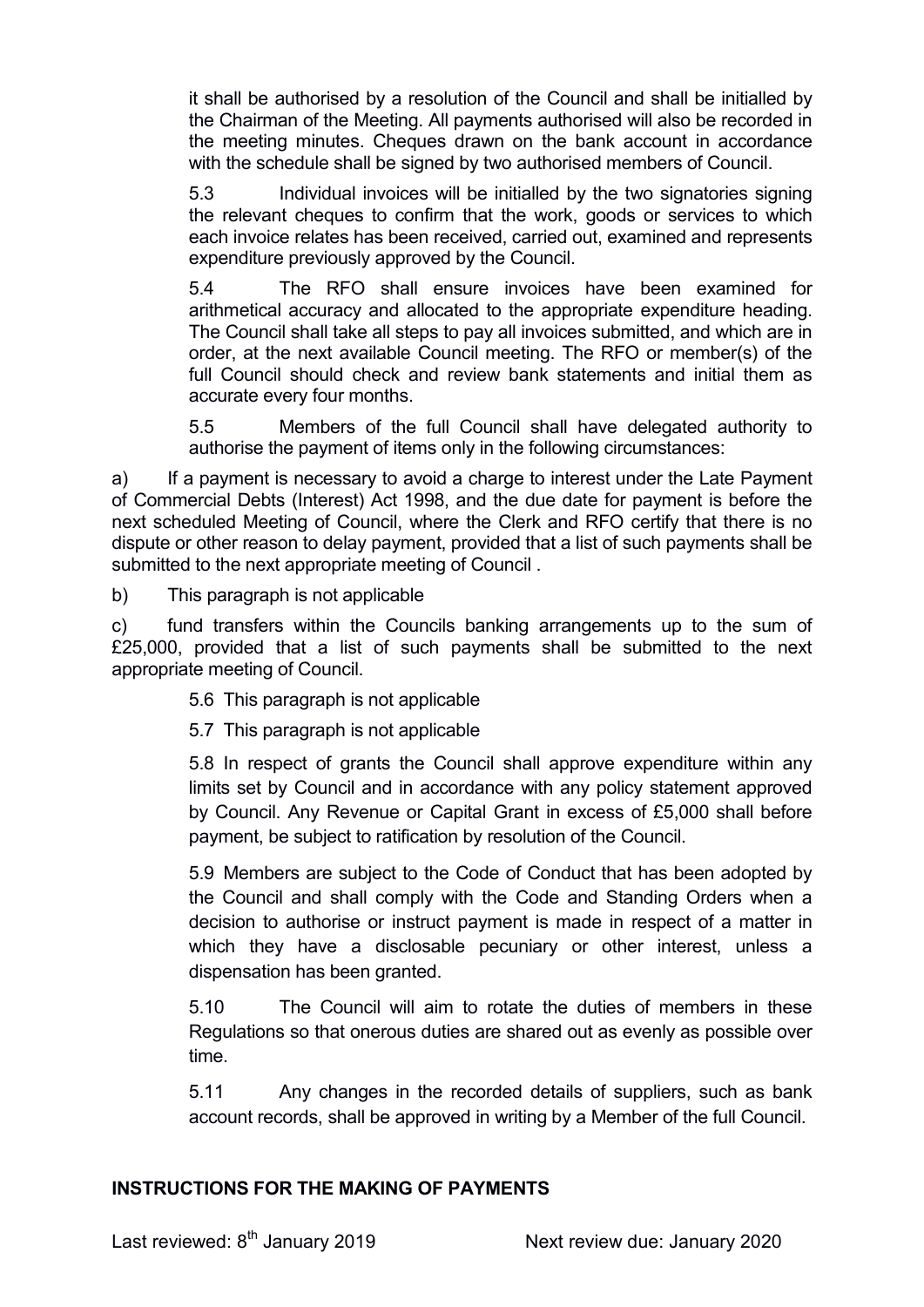it shall be authorised by a resolution of the Council and shall be initialled by the Chairman of the Meeting. All payments authorised will also be recorded in the meeting minutes. Cheques drawn on the bank account in accordance with the schedule shall be signed by two authorised members of Council.

5.3 Individual invoices will be initialled by the two signatories signing the relevant cheques to confirm that the work, goods or services to which each invoice relates has been received, carried out, examined and represents expenditure previously approved by the Council.

5.4 The RFO shall ensure invoices have been examined for arithmetical accuracy and allocated to the appropriate expenditure heading. The Council shall take all steps to pay all invoices submitted, and which are in order, at the next available Council meeting. The RFO or member(s) of the full Council should check and review bank statements and initial them as accurate every four months.

5.5 Members of the full Council shall have delegated authority to authorise the payment of items only in the following circumstances:

a) If a payment is necessary to avoid a charge to interest under the Late Payment of Commercial Debts (Interest) Act 1998, and the due date for payment is before the next scheduled Meeting of Council, where the Clerk and RFO certify that there is no dispute or other reason to delay payment, provided that a list of such payments shall be submitted to the next appropriate meeting of Council .

b) This paragraph is not applicable

c) fund transfers within the Councils banking arrangements up to the sum of £25,000, provided that a list of such payments shall be submitted to the next appropriate meeting of Council.

5.6 This paragraph is not applicable

5.7 This paragraph is not applicable

5.8 In respect of grants the Council shall approve expenditure within any limits set by Council and in accordance with any policy statement approved by Council. Any Revenue or Capital Grant in excess of £5,000 shall before payment, be subject to ratification by resolution of the Council.

5.9 Members are subject to the Code of Conduct that has been adopted by the Council and shall comply with the Code and Standing Orders when a decision to authorise or instruct payment is made in respect of a matter in which they have a disclosable pecuniary or other interest, unless a dispensation has been granted.

5.10 The Council will aim to rotate the duties of members in these Regulations so that onerous duties are shared out as evenly as possible over time.

5.11 Any changes in the recorded details of suppliers, such as bank account records, shall be approved in writing by a Member of the full Council.

#### INSTRUCTIONS FOR THE MAKING OF PAYMENTS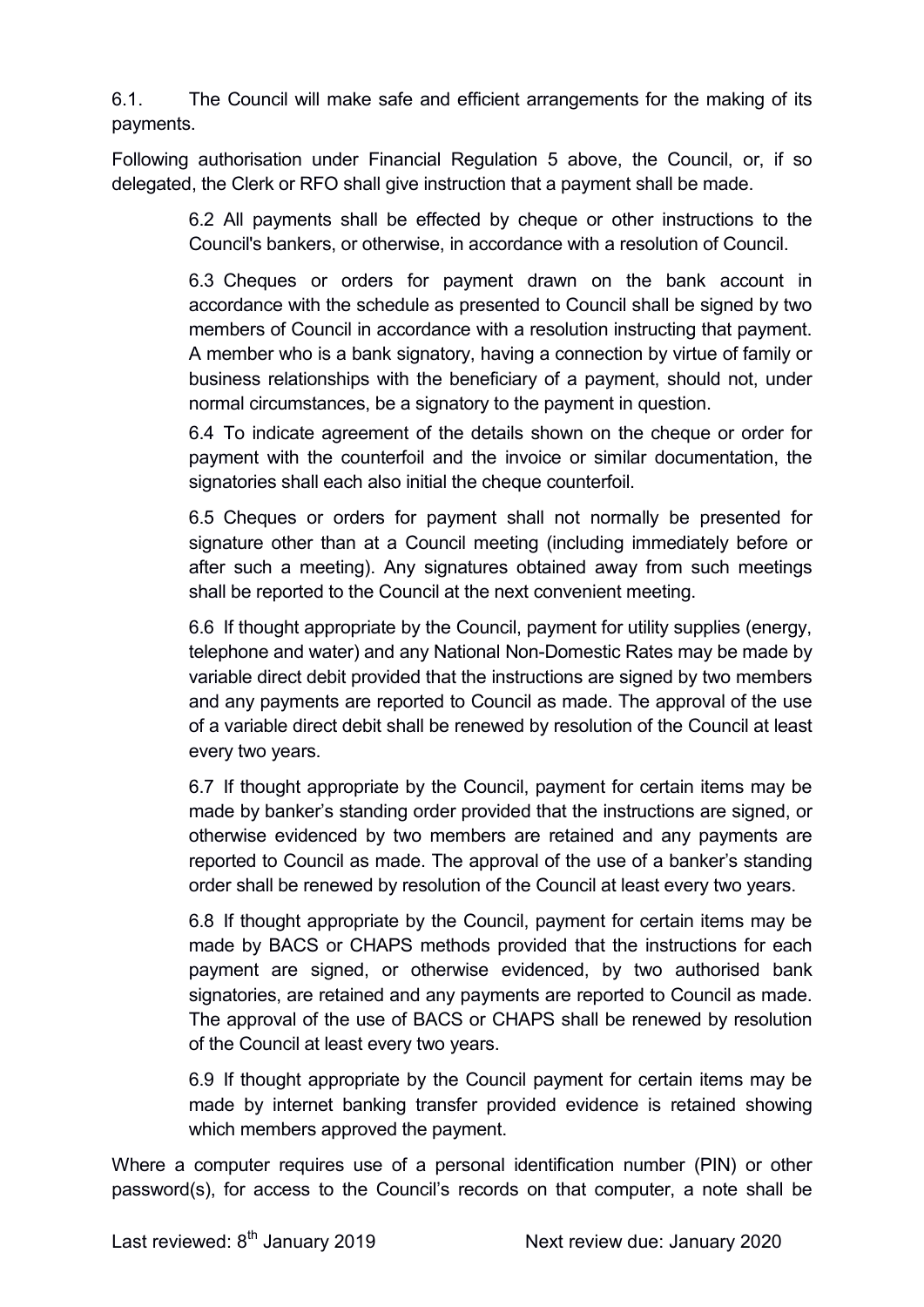6.1. The Council will make safe and efficient arrangements for the making of its payments.

Following authorisation under Financial Regulation 5 above, the Council, or, if so delegated, the Clerk or RFO shall give instruction that a payment shall be made.

> 6.2 All payments shall be effected by cheque or other instructions to the Council's bankers, or otherwise, in accordance with a resolution of Council.

> 6.3 Cheques or orders for payment drawn on the bank account in accordance with the schedule as presented to Council shall be signed by two members of Council in accordance with a resolution instructing that payment. A member who is a bank signatory, having a connection by virtue of family or business relationships with the beneficiary of a payment, should not, under normal circumstances, be a signatory to the payment in question.

> 6.4 To indicate agreement of the details shown on the cheque or order for payment with the counterfoil and the invoice or similar documentation, the signatories shall each also initial the cheque counterfoil.

> 6.5 Cheques or orders for payment shall not normally be presented for signature other than at a Council meeting (including immediately before or after such a meeting). Any signatures obtained away from such meetings shall be reported to the Council at the next convenient meeting.

> 6.6 If thought appropriate by the Council, payment for utility supplies (energy, telephone and water) and any National Non-Domestic Rates may be made by variable direct debit provided that the instructions are signed by two members and any payments are reported to Council as made. The approval of the use of a variable direct debit shall be renewed by resolution of the Council at least every two years.

> 6.7 If thought appropriate by the Council, payment for certain items may be made by banker's standing order provided that the instructions are signed, or otherwise evidenced by two members are retained and any payments are reported to Council as made. The approval of the use of a banker's standing order shall be renewed by resolution of the Council at least every two years.

> 6.8 If thought appropriate by the Council, payment for certain items may be made by BACS or CHAPS methods provided that the instructions for each payment are signed, or otherwise evidenced, by two authorised bank signatories, are retained and any payments are reported to Council as made. The approval of the use of BACS or CHAPS shall be renewed by resolution of the Council at least every two years.

> 6.9 If thought appropriate by the Council payment for certain items may be made by internet banking transfer provided evidence is retained showing which members approved the payment.

Where a computer requires use of a personal identification number (PIN) or other password(s), for access to the Council's records on that computer, a note shall be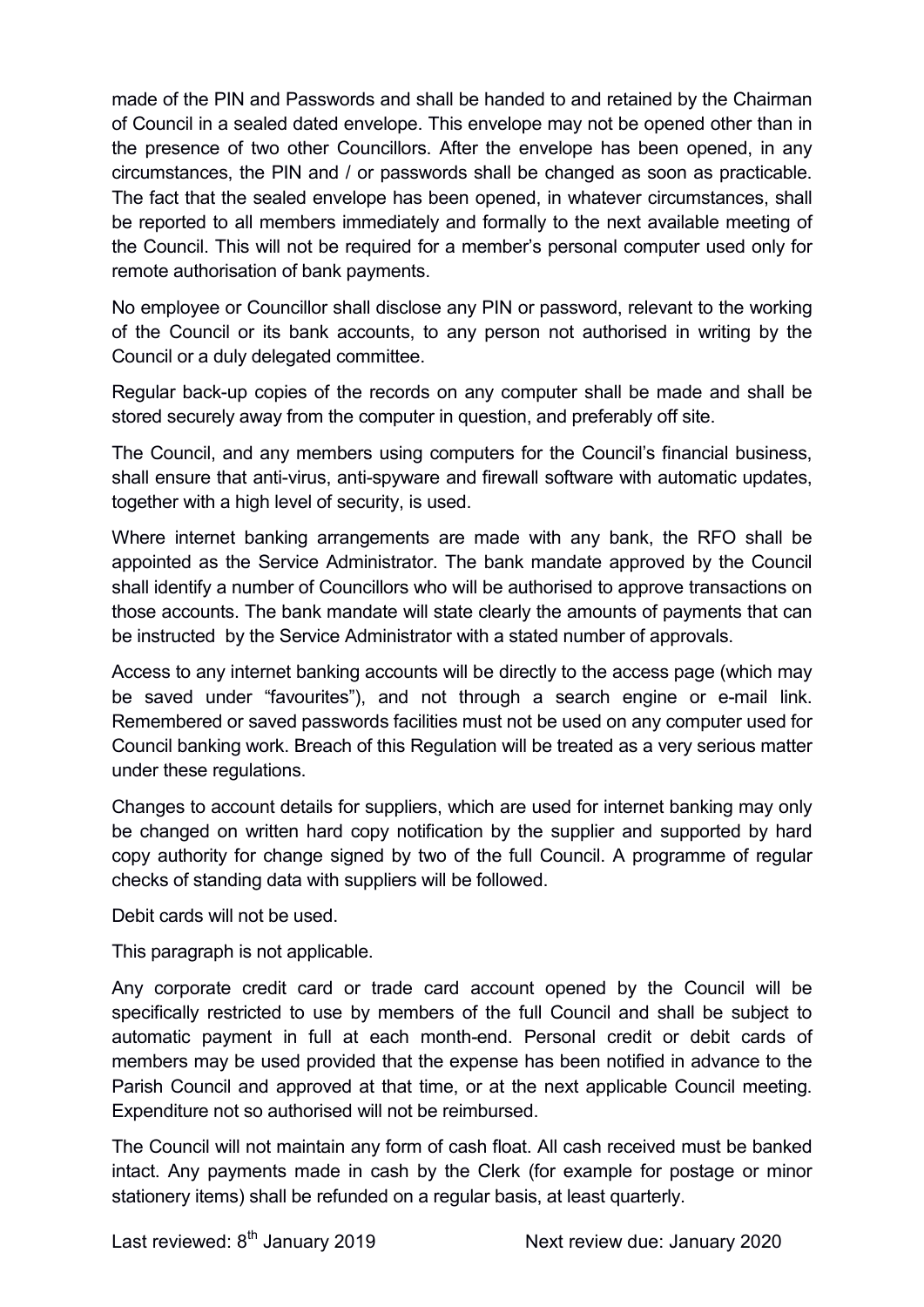made of the PIN and Passwords and shall be handed to and retained by the Chairman of Council in a sealed dated envelope. This envelope may not be opened other than in the presence of two other Councillors. After the envelope has been opened, in any circumstances, the PIN and / or passwords shall be changed as soon as practicable. The fact that the sealed envelope has been opened, in whatever circumstances, shall be reported to all members immediately and formally to the next available meeting of the Council. This will not be required for a member's personal computer used only for remote authorisation of bank payments.

No employee or Councillor shall disclose any PIN or password, relevant to the working of the Council or its bank accounts, to any person not authorised in writing by the Council or a duly delegated committee.

Regular back-up copies of the records on any computer shall be made and shall be stored securely away from the computer in question, and preferably off site.

The Council, and any members using computers for the Council's financial business, shall ensure that anti-virus, anti-spyware and firewall software with automatic updates, together with a high level of security, is used.

Where internet banking arrangements are made with any bank, the RFO shall be appointed as the Service Administrator. The bank mandate approved by the Council shall identify a number of Councillors who will be authorised to approve transactions on those accounts. The bank mandate will state clearly the amounts of payments that can be instructed by the Service Administrator with a stated number of approvals.

Access to any internet banking accounts will be directly to the access page (which may be saved under "favourites"), and not through a search engine or e-mail link. Remembered or saved passwords facilities must not be used on any computer used for Council banking work. Breach of this Regulation will be treated as a very serious matter under these regulations.

Changes to account details for suppliers, which are used for internet banking may only be changed on written hard copy notification by the supplier and supported by hard copy authority for change signed by two of the full Council. A programme of regular checks of standing data with suppliers will be followed.

Debit cards will not be used.

This paragraph is not applicable.

Any corporate credit card or trade card account opened by the Council will be specifically restricted to use by members of the full Council and shall be subject to automatic payment in full at each month-end. Personal credit or debit cards of members may be used provided that the expense has been notified in advance to the Parish Council and approved at that time, or at the next applicable Council meeting. Expenditure not so authorised will not be reimbursed.

The Council will not maintain any form of cash float. All cash received must be banked intact. Any payments made in cash by the Clerk (for example for postage or minor stationery items) shall be refunded on a regular basis, at least quarterly.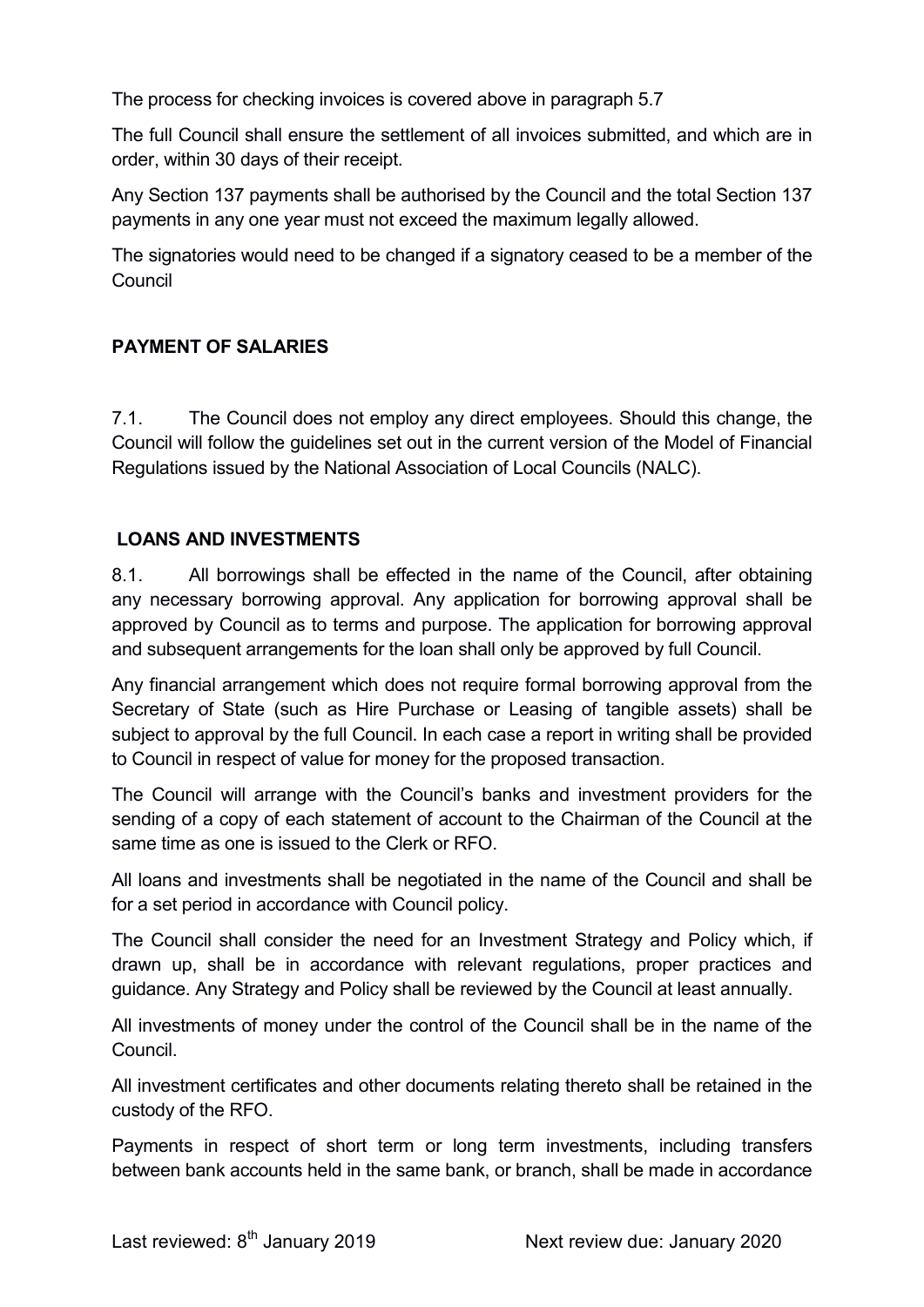The process for checking invoices is covered above in paragraph 5.7

The full Council shall ensure the settlement of all invoices submitted, and which are in order, within 30 days of their receipt.

Any Section 137 payments shall be authorised by the Council and the total Section 137 payments in any one year must not exceed the maximum legally allowed.

The signatories would need to be changed if a signatory ceased to be a member of the Council

### PAYMENT OF SALARIES

7.1. The Council does not employ any direct employees. Should this change, the Council will follow the guidelines set out in the current version of the Model of Financial Regulations issued by the National Association of Local Councils (NALC).

### LOANS AND INVESTMENTS

8.1. All borrowings shall be effected in the name of the Council, after obtaining any necessary borrowing approval. Any application for borrowing approval shall be approved by Council as to terms and purpose. The application for borrowing approval and subsequent arrangements for the loan shall only be approved by full Council.

Any financial arrangement which does not require formal borrowing approval from the Secretary of State (such as Hire Purchase or Leasing of tangible assets) shall be subject to approval by the full Council. In each case a report in writing shall be provided to Council in respect of value for money for the proposed transaction.

The Council will arrange with the Council's banks and investment providers for the sending of a copy of each statement of account to the Chairman of the Council at the same time as one is issued to the Clerk or RFO.

All loans and investments shall be negotiated in the name of the Council and shall be for a set period in accordance with Council policy.

The Council shall consider the need for an Investment Strategy and Policy which, if drawn up, shall be in accordance with relevant regulations, proper practices and guidance. Any Strategy and Policy shall be reviewed by the Council at least annually.

All investments of money under the control of the Council shall be in the name of the Council.

All investment certificates and other documents relating thereto shall be retained in the custody of the RFO.

Payments in respect of short term or long term investments, including transfers between bank accounts held in the same bank, or branch, shall be made in accordance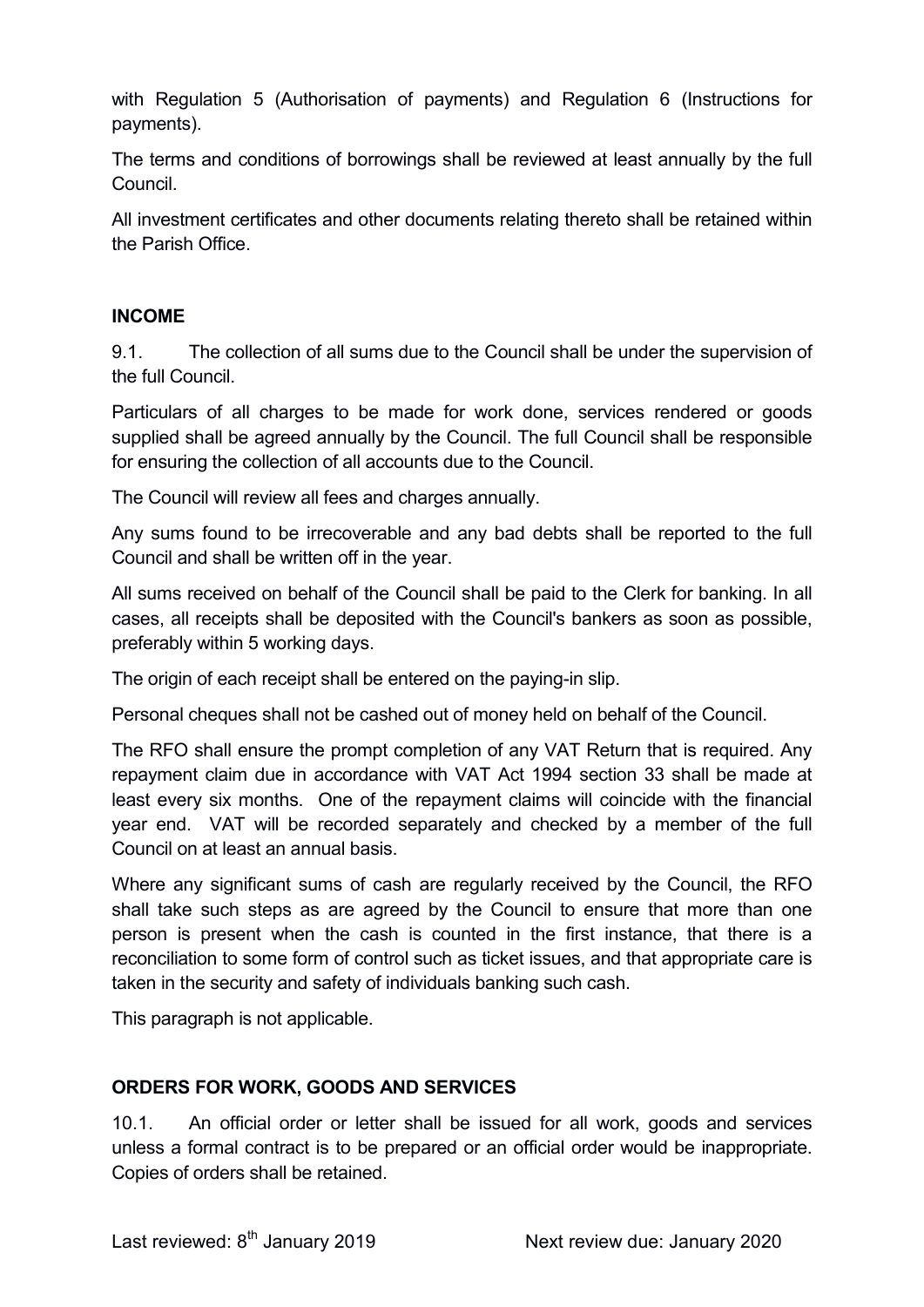with Regulation 5 (Authorisation of payments) and Regulation 6 (Instructions for payments).

The terms and conditions of borrowings shall be reviewed at least annually by the full Council.

All investment certificates and other documents relating thereto shall be retained within the Parish Office.

#### INCOME

9.1. The collection of all sums due to the Council shall be under the supervision of the full Council.

Particulars of all charges to be made for work done, services rendered or goods supplied shall be agreed annually by the Council. The full Council shall be responsible for ensuring the collection of all accounts due to the Council.

The Council will review all fees and charges annually.

Any sums found to be irrecoverable and any bad debts shall be reported to the full Council and shall be written off in the year.

All sums received on behalf of the Council shall be paid to the Clerk for banking. In all cases, all receipts shall be deposited with the Council's bankers as soon as possible, preferably within 5 working days.

The origin of each receipt shall be entered on the paying-in slip.

Personal cheques shall not be cashed out of money held on behalf of the Council.

The RFO shall ensure the prompt completion of any VAT Return that is required. Any repayment claim due in accordance with VAT Act 1994 section 33 shall be made at least every six months. One of the repayment claims will coincide with the financial year end. VAT will be recorded separately and checked by a member of the full Council on at least an annual basis.

Where any significant sums of cash are regularly received by the Council, the RFO shall take such steps as are agreed by the Council to ensure that more than one person is present when the cash is counted in the first instance, that there is a reconciliation to some form of control such as ticket issues, and that appropriate care is taken in the security and safety of individuals banking such cash.

This paragraph is not applicable.

#### ORDERS FOR WORK, GOODS AND SERVICES

10.1. An official order or letter shall be issued for all work, goods and services unless a formal contract is to be prepared or an official order would be inappropriate. Copies of orders shall be retained.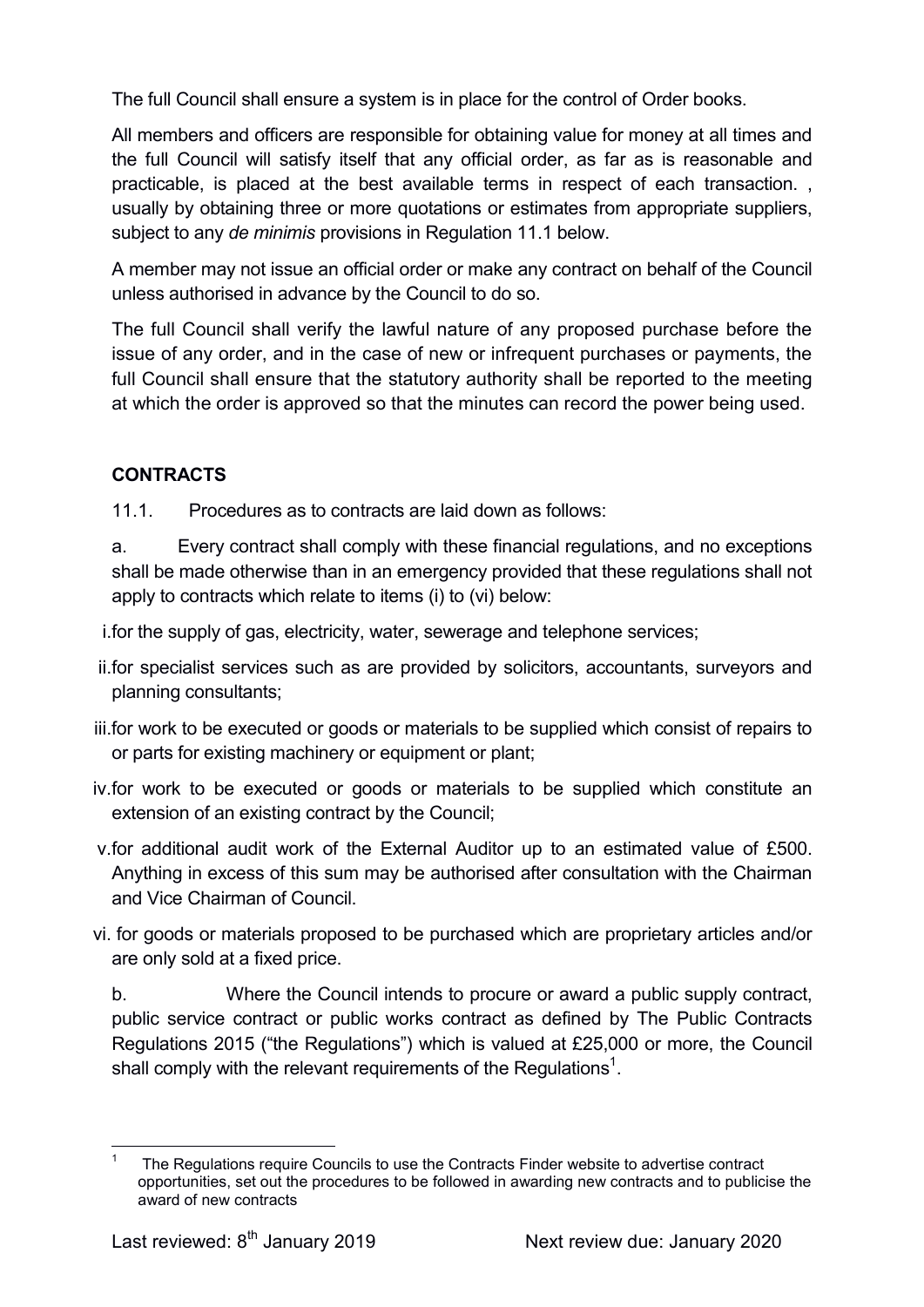The full Council shall ensure a system is in place for the control of Order books.

All members and officers are responsible for obtaining value for money at all times and the full Council will satisfy itself that any official order, as far as is reasonable and practicable, is placed at the best available terms in respect of each transaction. , usually by obtaining three or more quotations or estimates from appropriate suppliers, subject to any de minimis provisions in Regulation 11.1 below.

A member may not issue an official order or make any contract on behalf of the Council unless authorised in advance by the Council to do so.

The full Council shall verify the lawful nature of any proposed purchase before the issue of any order, and in the case of new or infrequent purchases or payments, the full Council shall ensure that the statutory authority shall be reported to the meeting at which the order is approved so that the minutes can record the power being used.

### CONTRACTS

11.1. Procedures as to contracts are laid down as follows:

a. Every contract shall comply with these financial regulations, and no exceptions shall be made otherwise than in an emergency provided that these regulations shall not apply to contracts which relate to items (i) to (vi) below:

i.for the supply of gas, electricity, water, sewerage and telephone services;

- ii.for specialist services such as are provided by solicitors, accountants, surveyors and planning consultants;
- iii.for work to be executed or goods or materials to be supplied which consist of repairs to or parts for existing machinery or equipment or plant;
- iv.for work to be executed or goods or materials to be supplied which constitute an extension of an existing contract by the Council;
- v.for additional audit work of the External Auditor up to an estimated value of £500. Anything in excess of this sum may be authorised after consultation with the Chairman and Vice Chairman of Council.
- vi. for goods or materials proposed to be purchased which are proprietary articles and/or are only sold at a fixed price.

b. Where the Council intends to procure or award a public supply contract, public service contract or public works contract as defined by The Public Contracts Regulations 2015 ("the Regulations") which is valued at £25,000 or more, the Council shall comply with the relevant requirements of the Regulations $^{\text{1}}$ .

 $\overline{a}$ 1 The Regulations require Councils to use the Contracts Finder website to advertise contract opportunities, set out the procedures to be followed in awarding new contracts and to publicise the award of new contracts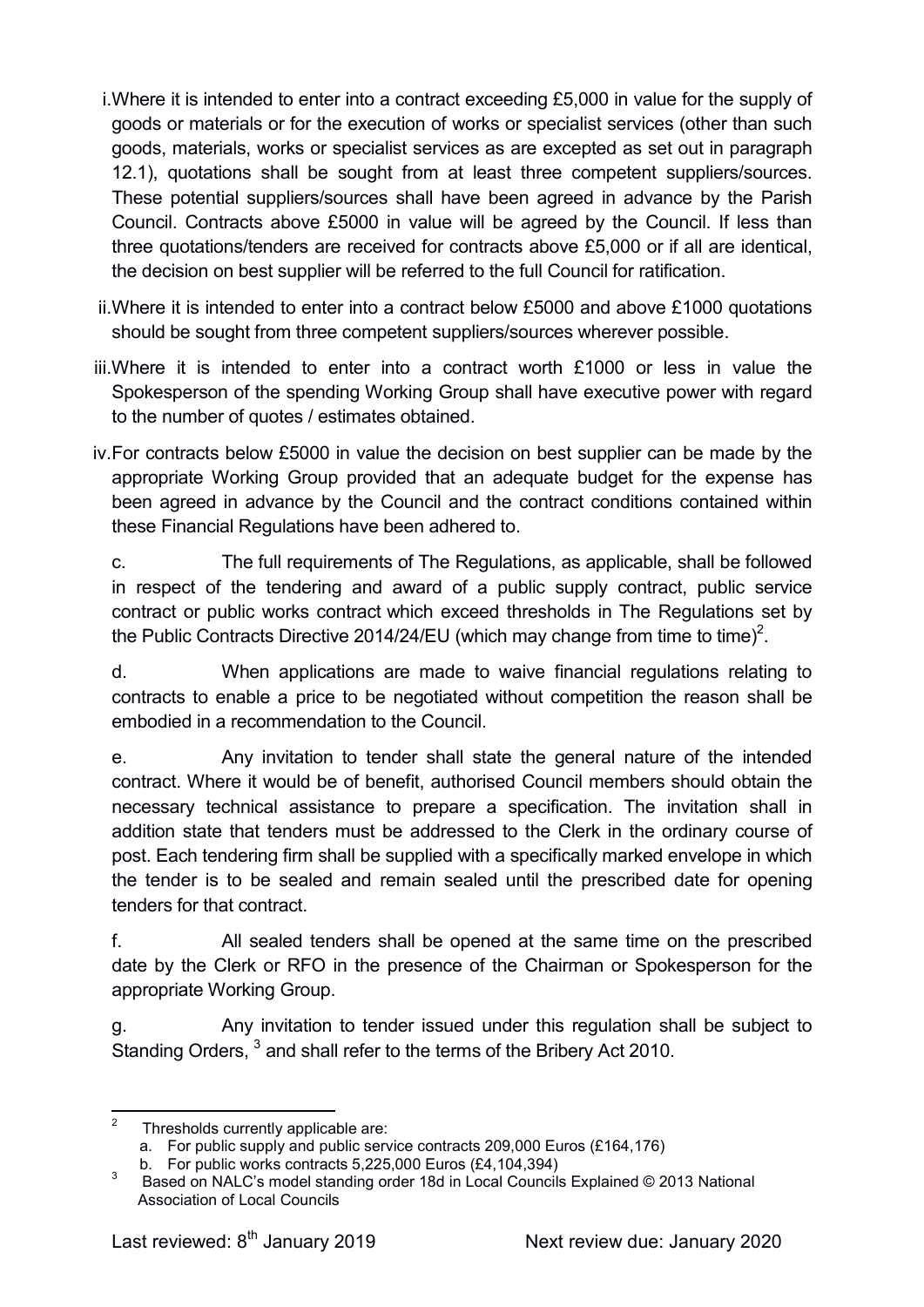- i.Where it is intended to enter into a contract exceeding £5,000 in value for the supply of goods or materials or for the execution of works or specialist services (other than such goods, materials, works or specialist services as are excepted as set out in paragraph 12.1), quotations shall be sought from at least three competent suppliers/sources. These potential suppliers/sources shall have been agreed in advance by the Parish Council. Contracts above £5000 in value will be agreed by the Council. If less than three quotations/tenders are received for contracts above £5,000 or if all are identical, the decision on best supplier will be referred to the full Council for ratification.
- ii.Where it is intended to enter into a contract below £5000 and above £1000 quotations should be sought from three competent suppliers/sources wherever possible.
- iii.Where it is intended to enter into a contract worth £1000 or less in value the Spokesperson of the spending Working Group shall have executive power with regard to the number of quotes / estimates obtained.
- iv.For contracts below £5000 in value the decision on best supplier can be made by the appropriate Working Group provided that an adequate budget for the expense has been agreed in advance by the Council and the contract conditions contained within these Financial Regulations have been adhered to.

c. The full requirements of The Regulations, as applicable, shall be followed in respect of the tendering and award of a public supply contract, public service contract or public works contract which exceed thresholds in The Regulations set by the Public Contracts Directive 2014/24/EU (which may change from time to time)<sup>2</sup>.

d. When applications are made to waive financial regulations relating to contracts to enable a price to be negotiated without competition the reason shall be embodied in a recommendation to the Council.

e. Any invitation to tender shall state the general nature of the intended contract. Where it would be of benefit, authorised Council members should obtain the necessary technical assistance to prepare a specification. The invitation shall in addition state that tenders must be addressed to the Clerk in the ordinary course of post. Each tendering firm shall be supplied with a specifically marked envelope in which the tender is to be sealed and remain sealed until the prescribed date for opening tenders for that contract.

f. All sealed tenders shall be opened at the same time on the prescribed date by the Clerk or RFO in the presence of the Chairman or Spokesperson for the appropriate Working Group.

g. Any invitation to tender issued under this regulation shall be subject to Standing Orders, <sup>3</sup> and shall refer to the terms of the Bribery Act 2010.

 $\frac{1}{2}$ Thresholds currently applicable are:

a. For public supply and public service contracts 209,000 Euros (£164,176)

b. For public works contracts 5,225,000 Euros (£4,104,394)

<sup>3</sup> Based on NALC's model standing order 18d in Local Councils Explained © 2013 National Association of Local Councils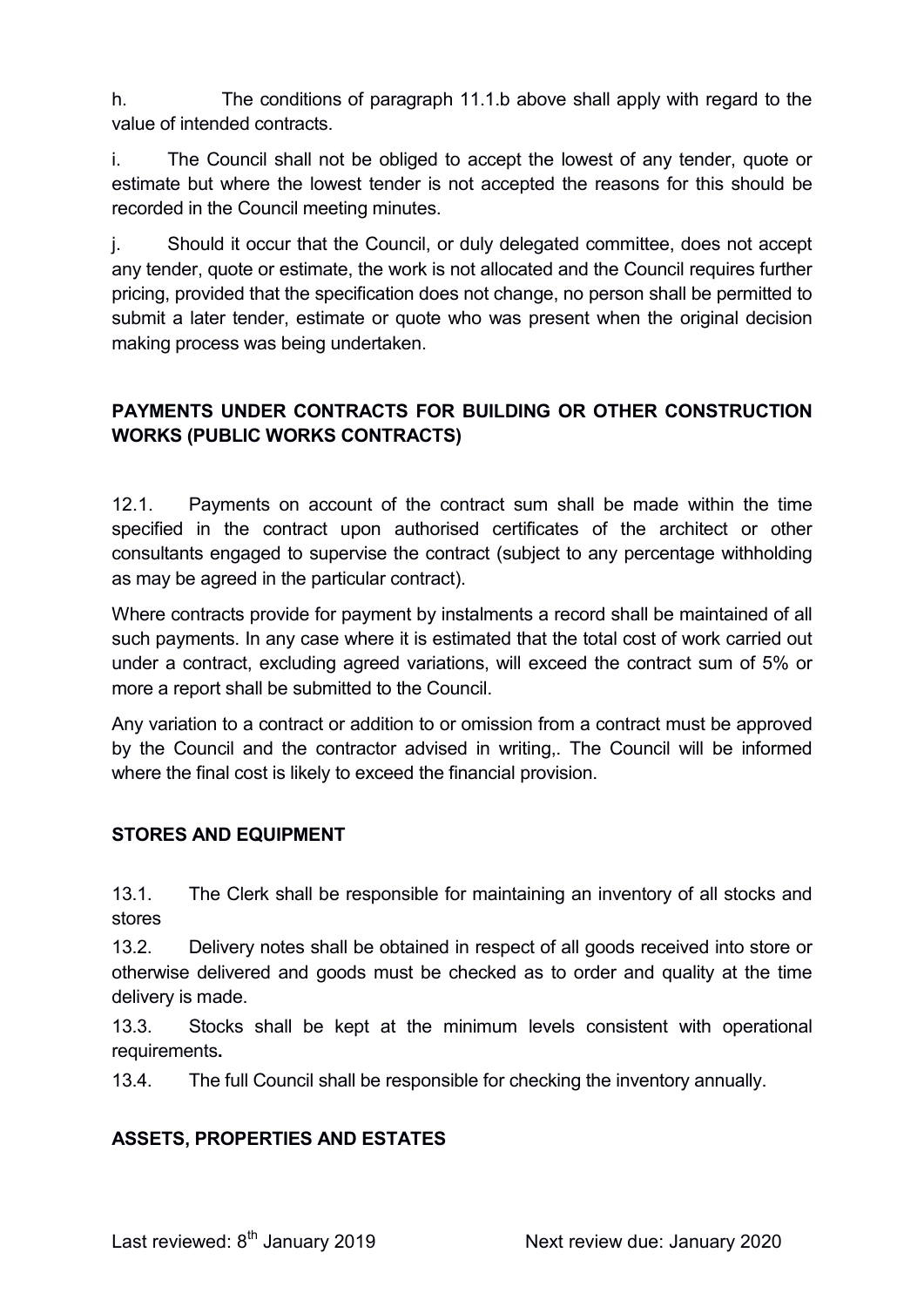h. The conditions of paragraph 11.1.b above shall apply with regard to the value of intended contracts.

i. The Council shall not be obliged to accept the lowest of any tender, quote or estimate but where the lowest tender is not accepted the reasons for this should be recorded in the Council meeting minutes.

j. Should it occur that the Council, or duly delegated committee, does not accept any tender, quote or estimate, the work is not allocated and the Council requires further pricing, provided that the specification does not change, no person shall be permitted to submit a later tender, estimate or quote who was present when the original decision making process was being undertaken.

### PAYMENTS UNDER CONTRACTS FOR BUILDING OR OTHER CONSTRUCTION WORKS (PUBLIC WORKS CONTRACTS)

12.1. Payments on account of the contract sum shall be made within the time specified in the contract upon authorised certificates of the architect or other consultants engaged to supervise the contract (subject to any percentage withholding as may be agreed in the particular contract).

Where contracts provide for payment by instalments a record shall be maintained of all such payments. In any case where it is estimated that the total cost of work carried out under a contract, excluding agreed variations, will exceed the contract sum of 5% or more a report shall be submitted to the Council.

Any variation to a contract or addition to or omission from a contract must be approved by the Council and the contractor advised in writing,. The Council will be informed where the final cost is likely to exceed the financial provision.

### STORES AND EQUIPMENT

13.1. The Clerk shall be responsible for maintaining an inventory of all stocks and stores

13.2. Delivery notes shall be obtained in respect of all goods received into store or otherwise delivered and goods must be checked as to order and quality at the time delivery is made.

13.3. Stocks shall be kept at the minimum levels consistent with operational requirements.

13.4. The full Council shall be responsible for checking the inventory annually.

### ASSETS, PROPERTIES AND ESTATES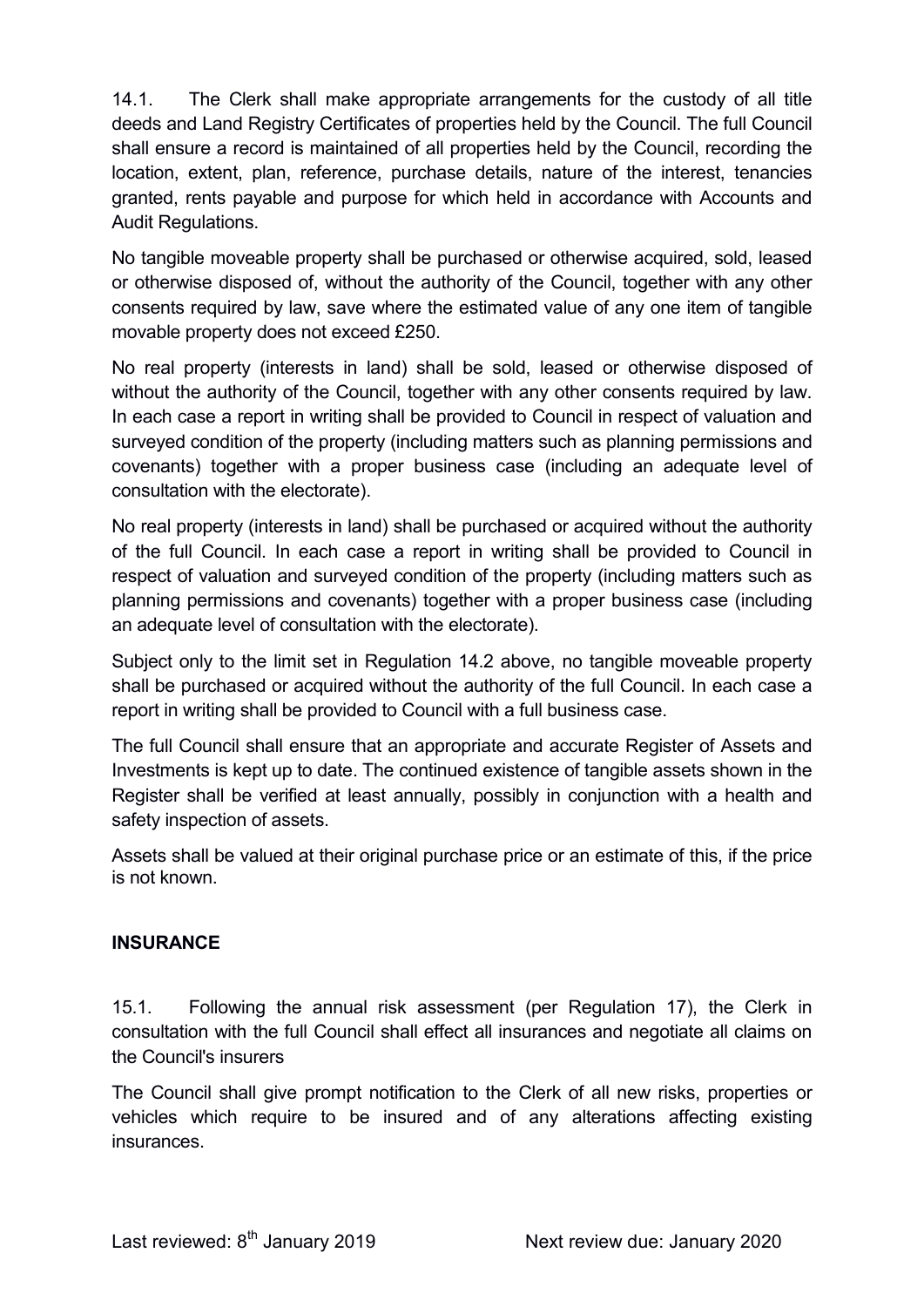14.1. The Clerk shall make appropriate arrangements for the custody of all title deeds and Land Registry Certificates of properties held by the Council. The full Council shall ensure a record is maintained of all properties held by the Council, recording the location, extent, plan, reference, purchase details, nature of the interest, tenancies granted, rents payable and purpose for which held in accordance with Accounts and Audit Regulations.

No tangible moveable property shall be purchased or otherwise acquired, sold, leased or otherwise disposed of, without the authority of the Council, together with any other consents required by law, save where the estimated value of any one item of tangible movable property does not exceed £250.

No real property (interests in land) shall be sold, leased or otherwise disposed of without the authority of the Council, together with any other consents required by law. In each case a report in writing shall be provided to Council in respect of valuation and surveyed condition of the property (including matters such as planning permissions and covenants) together with a proper business case (including an adequate level of consultation with the electorate).

No real property (interests in land) shall be purchased or acquired without the authority of the full Council. In each case a report in writing shall be provided to Council in respect of valuation and surveyed condition of the property (including matters such as planning permissions and covenants) together with a proper business case (including an adequate level of consultation with the electorate).

Subject only to the limit set in Regulation 14.2 above, no tangible moveable property shall be purchased or acquired without the authority of the full Council. In each case a report in writing shall be provided to Council with a full business case.

The full Council shall ensure that an appropriate and accurate Register of Assets and Investments is kept up to date. The continued existence of tangible assets shown in the Register shall be verified at least annually, possibly in conjunction with a health and safety inspection of assets.

Assets shall be valued at their original purchase price or an estimate of this, if the price is not known.

#### **INSURANCE**

15.1. Following the annual risk assessment (per Regulation 17), the Clerk in consultation with the full Council shall effect all insurances and negotiate all claims on the Council's insurers

The Council shall give prompt notification to the Clerk of all new risks, properties or vehicles which require to be insured and of any alterations affecting existing insurances.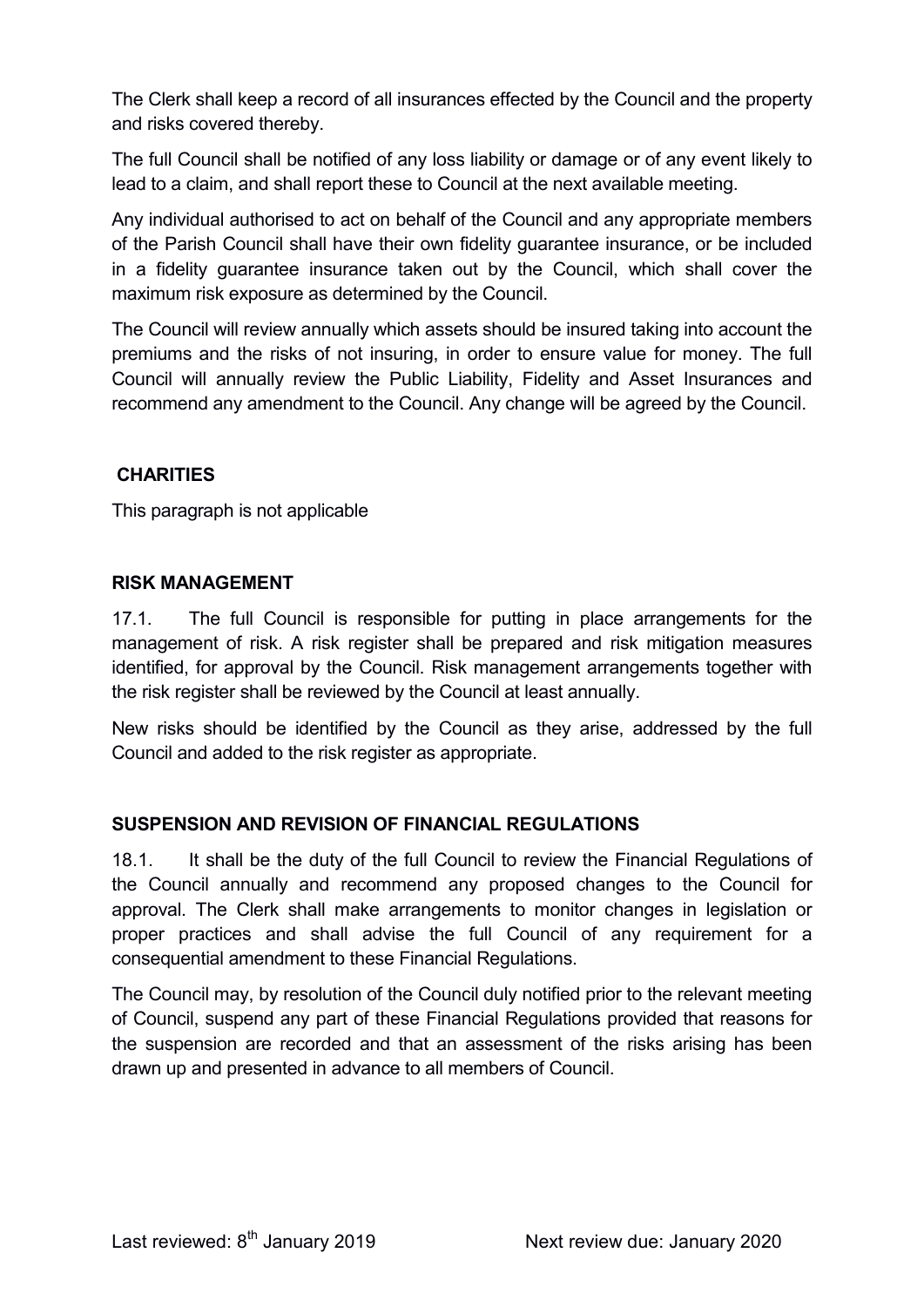The Clerk shall keep a record of all insurances effected by the Council and the property and risks covered thereby.

The full Council shall be notified of any loss liability or damage or of any event likely to lead to a claim, and shall report these to Council at the next available meeting.

Any individual authorised to act on behalf of the Council and any appropriate members of the Parish Council shall have their own fidelity guarantee insurance, or be included in a fidelity guarantee insurance taken out by the Council, which shall cover the maximum risk exposure as determined by the Council.

The Council will review annually which assets should be insured taking into account the premiums and the risks of not insuring, in order to ensure value for money. The full Council will annually review the Public Liability, Fidelity and Asset Insurances and recommend any amendment to the Council. Any change will be agreed by the Council.

#### **CHARITIES**

This paragraph is not applicable

#### RISK MANAGEMENT

17.1. The full Council is responsible for putting in place arrangements for the management of risk. A risk register shall be prepared and risk mitigation measures identified, for approval by the Council. Risk management arrangements together with the risk register shall be reviewed by the Council at least annually.

New risks should be identified by the Council as they arise, addressed by the full Council and added to the risk register as appropriate.

#### SUSPENSION AND REVISION OF FINANCIAL REGULATIONS

18.1. It shall be the duty of the full Council to review the Financial Regulations of the Council annually and recommend any proposed changes to the Council for approval. The Clerk shall make arrangements to monitor changes in legislation or proper practices and shall advise the full Council of any requirement for a consequential amendment to these Financial Regulations.

The Council may, by resolution of the Council duly notified prior to the relevant meeting of Council, suspend any part of these Financial Regulations provided that reasons for the suspension are recorded and that an assessment of the risks arising has been drawn up and presented in advance to all members of Council.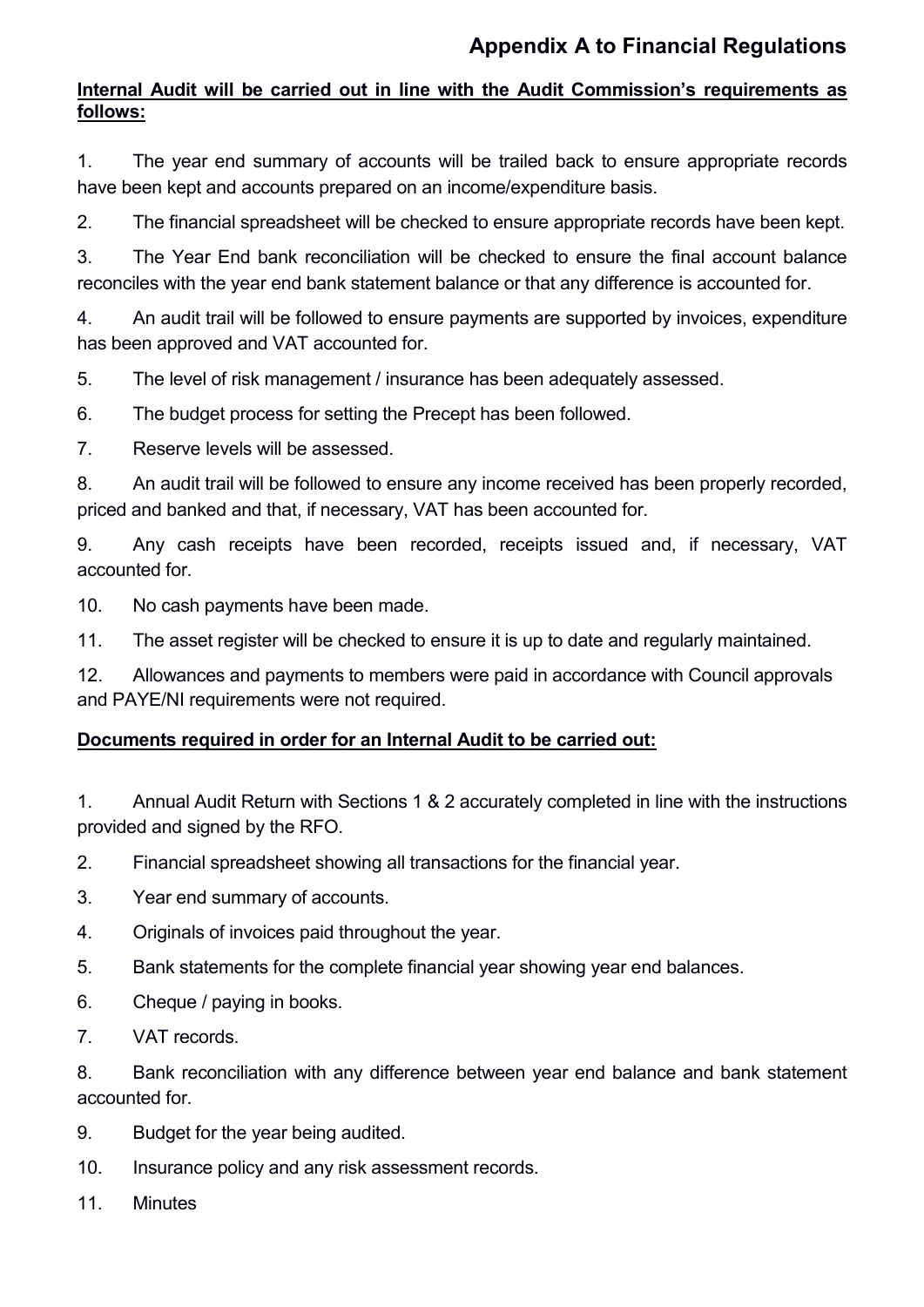## Appendix A to Financial Regulations

### Internal Audit will be carried out in line with the Audit Commission's requirements as follows:

1. The year end summary of accounts will be trailed back to ensure appropriate records have been kept and accounts prepared on an income/expenditure basis.

2. The financial spreadsheet will be checked to ensure appropriate records have been kept.

3. The Year End bank reconciliation will be checked to ensure the final account balance reconciles with the year end bank statement balance or that any difference is accounted for.

4. An audit trail will be followed to ensure payments are supported by invoices, expenditure has been approved and VAT accounted for.

5. The level of risk management / insurance has been adequately assessed.

6. The budget process for setting the Precept has been followed.

7. Reserve levels will be assessed.

8. An audit trail will be followed to ensure any income received has been properly recorded, priced and banked and that, if necessary, VAT has been accounted for.

9. Any cash receipts have been recorded, receipts issued and, if necessary, VAT accounted for.

10. No cash payments have been made.

11. The asset register will be checked to ensure it is up to date and regularly maintained.

12. Allowances and payments to members were paid in accordance with Council approvals and PAYE/NI requirements were not required.

### Documents required in order for an Internal Audit to be carried out:

1. Annual Audit Return with Sections 1 & 2 accurately completed in line with the instructions provided and signed by the RFO.

2. Financial spreadsheet showing all transactions for the financial year.

- 3. Year end summary of accounts.
- 4. Originals of invoices paid throughout the year.
- 5. Bank statements for the complete financial year showing year end balances.
- 6. Cheque / paying in books.
- 7. VAT records.

8. Bank reconciliation with any difference between year end balance and bank statement accounted for.

- 9. Budget for the year being audited.
- 10. Insurance policy and any risk assessment records.
- 11 Minutes